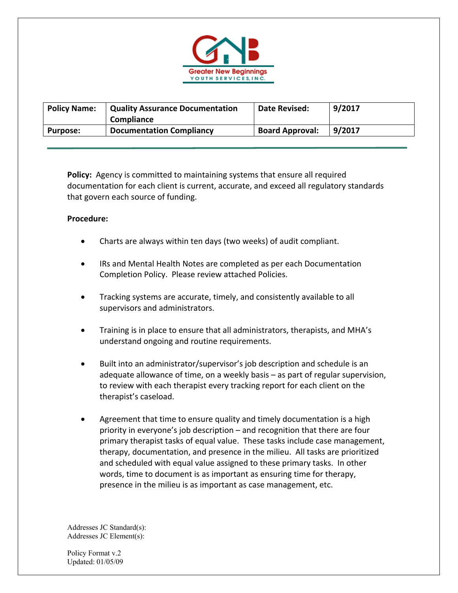

| <b>Policy Name:</b> | <b>Quality Assurance Documentation</b><br>Compliance | <b>Date Revised:</b>   | 9/2017 |
|---------------------|------------------------------------------------------|------------------------|--------|
| <b>Purpose:</b>     | <b>Documentation Compliancy</b>                      | <b>Board Approval:</b> | 9/2017 |

**Policy:** Agency is committed to maintaining systems that ensure all required documentation for each client is current, accurate, and exceed all regulatory standards that govern each source of funding.

## **Procedure:**

- Charts are always within ten days (two weeks) of audit compliant.
- IRs and Mental Health Notes are completed as per each Documentation Completion Policy. Please review attached Policies.
- Tracking systems are accurate, timely, and consistently available to all supervisors and administrators.
- Training is in place to ensure that all administrators, therapists, and MHA's understand ongoing and routine requirements.
- Built into an administrator/supervisor's job description and schedule is an adequate allowance of time, on a weekly basis – as part of regular supervision, to review with each therapist every tracking report for each client on the therapist's caseload.
- Agreement that time to ensure quality and timely documentation is a high priority in everyone's job description – and recognition that there are four primary therapist tasks of equal value. These tasks include case management, therapy, documentation, and presence in the milieu. All tasks are prioritized and scheduled with equal value assigned to these primary tasks. In other words, time to document is as important as ensuring time for therapy, presence in the milieu is as important as case management, etc.

Addresses JC Standard(s): Addresses JC Element(s):

Policy Format v.2 Updated: 01/05/09